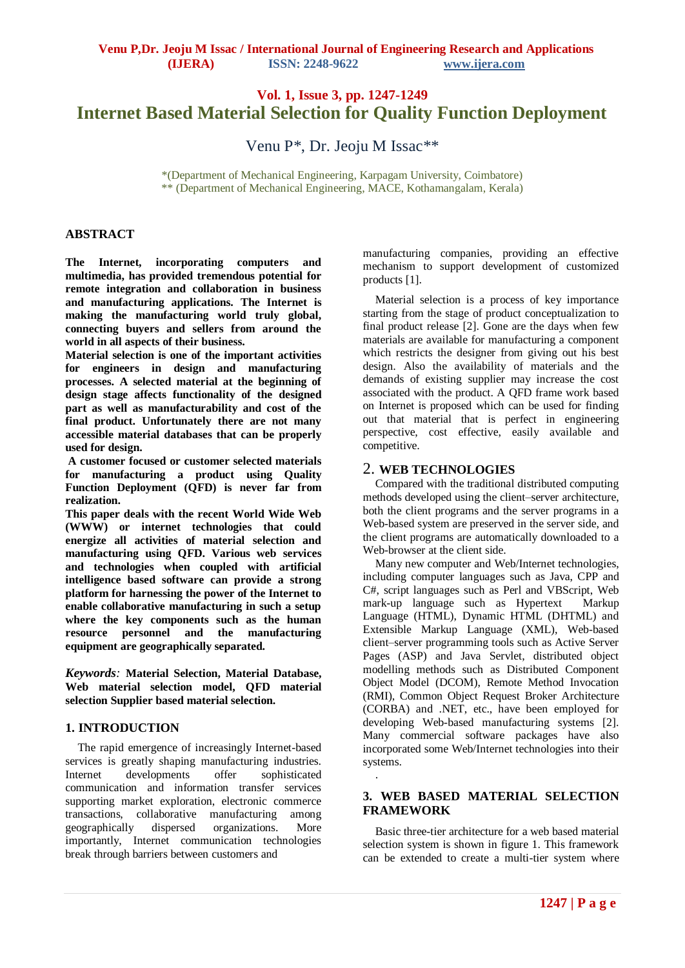# **Vol. 1, Issue 3, pp. 1247-1249 Internet Based Material Selection for Quality Function Deployment**

Venu P\*, Dr. Jeoju M Issac\*\*

\*(Department of Mechanical Engineering, Karpagam University, Coimbatore) \*\* (Department of Mechanical Engineering, MACE, Kothamangalam, Kerala)

## **ABSTRACT**

**The Internet, incorporating computers and multimedia, has provided tremendous potential for remote integration and collaboration in business and manufacturing applications. The Internet is making the manufacturing world truly global, connecting buyers and sellers from around the world in all aspects of their business.** 

**Material selection is one of the important activities for engineers in design and manufacturing processes. A selected material at the beginning of design stage affects functionality of the designed part as well as manufacturability and cost of the final product. Unfortunately there are not many accessible material databases that can be properly used for design.**

**A customer focused or customer selected materials for manufacturing a product using Quality Function Deployment (QFD) is never far from realization.** 

**This paper deals with the recent World Wide Web (WWW) or internet technologies that could energize all activities of material selection and manufacturing using QFD. Various web services and technologies when coupled with artificial intelligence based software can provide a strong platform for harnessing the power of the Internet to enable collaborative manufacturing in such a setup where the key components such as the human resource personnel and the manufacturing equipment are geographically separated.**

*Keywords:* **Material Selection, Material Database, Web material selection model, QFD material selection Supplier based material selection.**

# **1. INTRODUCTION**

The rapid emergence of increasingly Internet-based services is greatly shaping manufacturing industries. Internet developments offer sophisticated communication and information transfer services supporting market exploration, electronic commerce transactions, collaborative manufacturing among geographically dispersed organizations. More importantly, Internet communication technologies break through barriers between customers and

manufacturing companies, providing an effective mechanism to support development of customized products [1].

Material selection is a process of key importance starting from the stage of product conceptualization to final product release [2]. Gone are the days when few materials are available for manufacturing a component which restricts the designer from giving out his best design. Also the availability of materials and the demands of existing supplier may increase the cost associated with the product. A QFD frame work based on Internet is proposed which can be used for finding out that material that is perfect in engineering perspective, cost effective, easily available and competitive.

## 2. **WEB TECHNOLOGIES**

Compared with the traditional distributed computing methods developed using the client–server architecture, both the client programs and the server programs in a Web-based system are preserved in the server side, and the client programs are automatically downloaded to a Web-browser at the client side.

Many new computer and Web/Internet technologies, including computer languages such as Java, CPP and C#, script languages such as Perl and VBScript, Web mark-up language such as Hypertext Markup Language (HTML), Dynamic HTML (DHTML) and Extensible Markup Language (XML), Web-based client–server programming tools such as Active Server Pages (ASP) and Java Servlet, distributed object modelling methods such as Distributed Component Object Model (DCOM), Remote Method Invocation (RMI), Common Object Request Broker Architecture (CORBA) and .NET, etc., have been employed for developing Web-based manufacturing systems [2]. Many commercial software packages have also incorporated some Web/Internet technologies into their systems.

## **3. WEB BASED MATERIAL SELECTION FRAMEWORK**

.

Basic three-tier architecture for a web based material selection system is shown in figure 1. This framework can be extended to create a multi-tier system where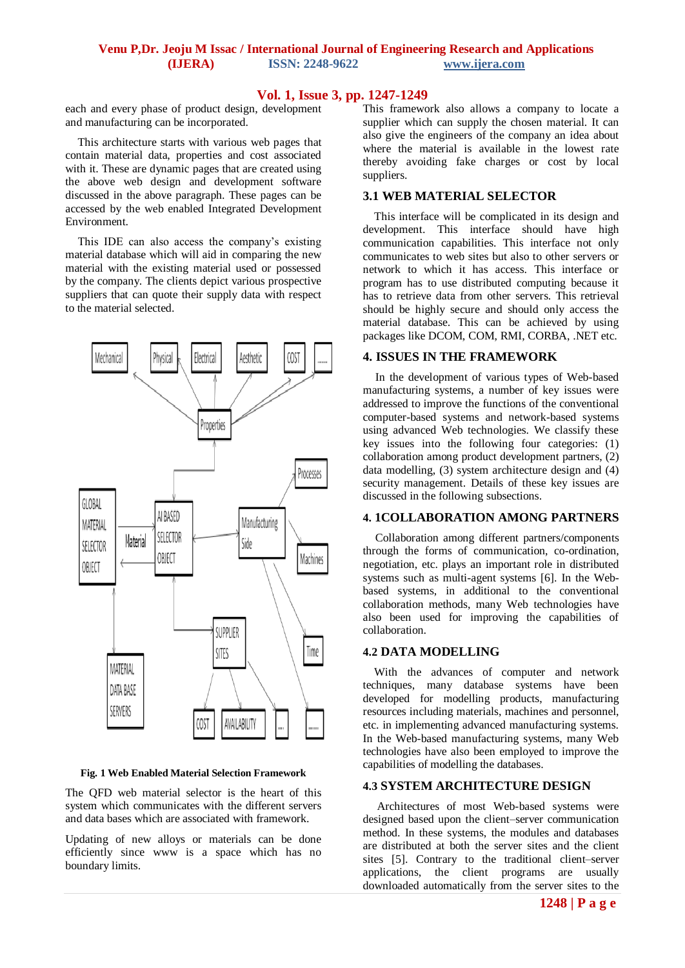# **Venu P,Dr. Jeoju M Issac / International Journal of Engineering Research and Applications (IJERA) ISSN: 2248-9622 www.ijera.com**

# **Vol. 1, Issue 3, pp. 1247-1249**

each and every phase of product design, development and manufacturing can be incorporated.

This architecture starts with various web pages that contain material data, properties and cost associated with it. These are dynamic pages that are created using the above web design and development software discussed in the above paragraph. These pages can be accessed by the web enabled Integrated Development Environment.

This IDE can also access the company's existing material database which will aid in comparing the new material with the existing material used or possessed by the company. The clients depict various prospective suppliers that can quote their supply data with respect to the material selected.



**Fig. 1 Web Enabled Material Selection Framework**

The QFD web material selector is the heart of this system which communicates with the different servers and data bases which are associated with framework.

Updating of new alloys or materials can be done efficiently since www is a space which has no boundary limits.

This framework also allows a company to locate a supplier which can supply the chosen material. It can also give the engineers of the company an idea about where the material is available in the lowest rate thereby avoiding fake charges or cost by local suppliers.

## **3.1 WEB MATERIAL SELECTOR**

 This interface will be complicated in its design and development. This interface should have high communication capabilities. This interface not only communicates to web sites but also to other servers or network to which it has access. This interface or program has to use distributed computing because it has to retrieve data from other servers. This retrieval should be highly secure and should only access the material database. This can be achieved by using packages like DCOM, COM, RMI, CORBA, .NET etc.

#### **4. ISSUES IN THE FRAMEWORK**

In the development of various types of Web-based manufacturing systems, a number of key issues were addressed to improve the functions of the conventional computer-based systems and network-based systems using advanced Web technologies. We classify these key issues into the following four categories: (1) collaboration among product development partners, (2) data modelling, (3) system architecture design and (4) security management. Details of these key issues are discussed in the following subsections.

## **4. 1COLLABORATION AMONG PARTNERS**

Collaboration among different partners/components through the forms of communication, co-ordination, negotiation, etc. plays an important role in distributed systems such as multi-agent systems [6]. In the Webbased systems, in additional to the conventional collaboration methods, many Web technologies have also been used for improving the capabilities of collaboration.

#### **4.2 DATA MODELLING**

 With the advances of computer and network techniques, many database systems have been developed for modelling products, manufacturing resources including materials, machines and personnel, etc. in implementing advanced manufacturing systems. In the Web-based manufacturing systems, many Web technologies have also been employed to improve the capabilities of modelling the databases.

## **4.3 SYSTEM ARCHITECTURE DESIGN**

 Architectures of most Web-based systems were designed based upon the client–server communication method. In these systems, the modules and databases are distributed at both the server sites and the client sites [5]. Contrary to the traditional client–server applications, the client programs are usually downloaded automatically from the server sites to the